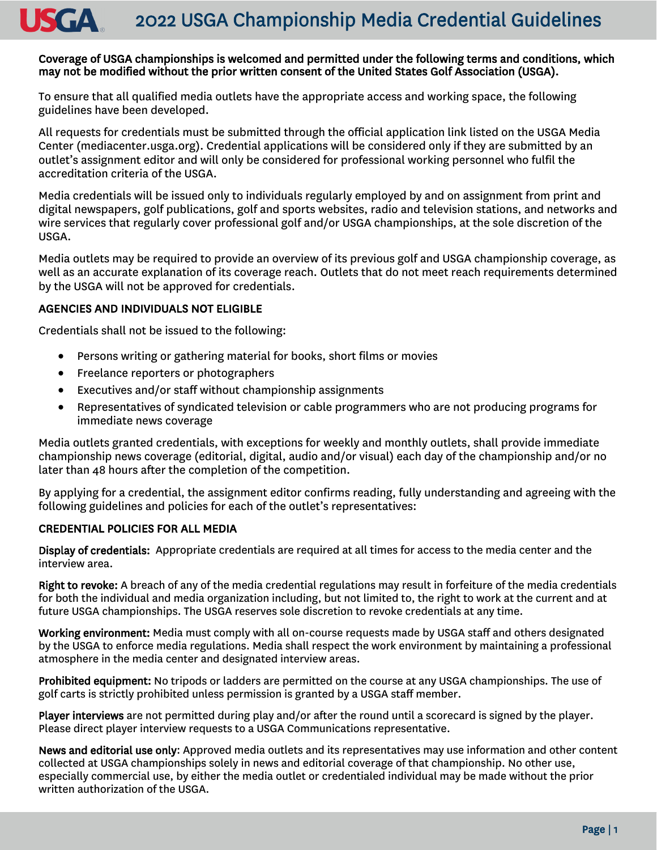#### 2022 USGA Championship Media Credential Guidelines USGA

#### Coverage of USGA championships is welcomed and permitted under the following terms and conditions, which may not be modified without the prior written consent of the United States Golf Association (USGA).

To ensure that all qualified media outlets have the appropriate access and working space, the following guidelines have been developed.

All requests for credentials must be submitted through the official application link listed on the USGA Media Center (mediacenter.usga.org). Credential applications will be considered only if they are submitted by an outlet's assignment editor and will only be considered for professional working personnel who fulfil the accreditation criteria of the USGA.

Media credentials will be issued only to individuals regularly employed by and on assignment from print and digital newspapers, golf publications, golf and sports websites, radio and television stations, and networks and wire services that regularly cover professional golf and/or USGA championships, at the sole discretion of the USGA.

Media outlets may be required to provide an overview of its previous golf and USGA championship coverage, as well as an accurate explanation of its coverage reach. Outlets that do not meet reach requirements determined by the USGA will not be approved for credentials.

#### AGENCIES AND INDIVIDUALS NOT ELIGIBLE

Credentials shall not be issued to the following:

- Persons writing or gathering material for books, short films or movies
- Freelance reporters or photographers
- Executives and/or staff without championship assignments
- Representatives of syndicated television or cable programmers who are not producing programs for immediate news coverage

Media outlets granted credentials, with exceptions for weekly and monthly outlets, shall provide immediate championship news coverage (editorial, digital, audio and/or visual) each day of the championship and/or no later than 48 hours after the completion of the competition.

By applying for a credential, the assignment editor confirms reading, fully understanding and agreeing with the following guidelines and policies for each of the outlet's representatives:

#### CREDENTIAL POLICIES FOR ALL MEDIA

Display of credentials: Appropriate credentials are required at all times for access to the media center and the interview area.

Right to revoke: A breach of any of the media credential regulations may result in forfeiture of the media credentials for both the individual and media organization including, but not limited to, the right to work at the current and at future USGA championships. The USGA reserves sole discretion to revoke credentials at any time.

Working environment: Media must comply with all on-course requests made by USGA staff and others designated by the USGA to enforce media regulations. Media shall respect the work environment by maintaining a professional atmosphere in the media center and designated interview areas.

Prohibited equipment: No tripods or ladders are permitted on the course at any USGA championships. The use of golf carts is strictly prohibited unless permission is granted by a USGA staff member.

Player interviews are not permitted during play and/or after the round until a scorecard is signed by the player. Please direct player interview requests to a USGA Communications representative.

News and editorial use only: Approved media outlets and its representatives may use information and other content collected at USGA championships solely in news and editorial coverage of that championship. No other use, especially commercial use, by either the media outlet or credentialed individual may be made without the prior written authorization of the USGA.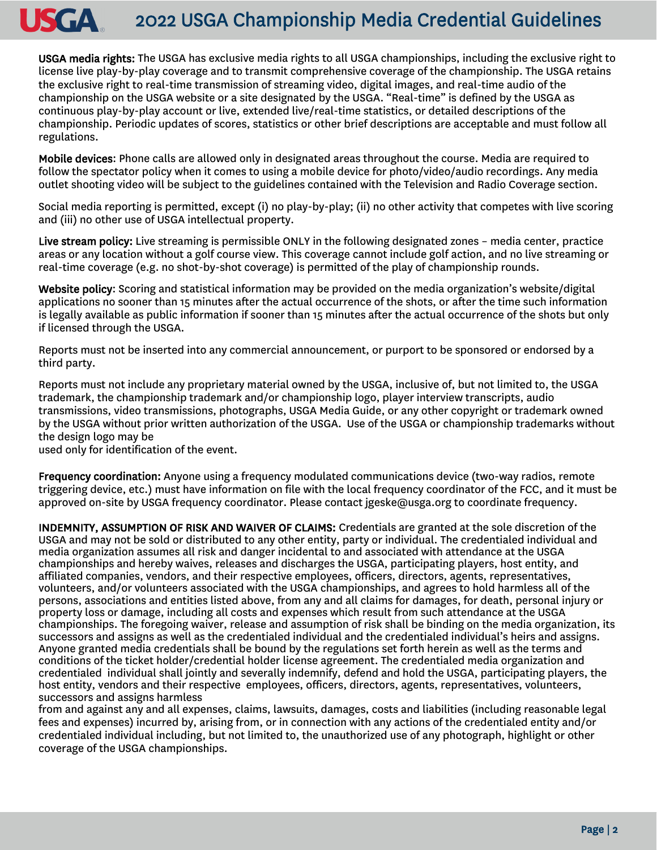# 2022 USGA Championship Media Credential Guidelines

USGA media rights: The USGA has exclusive media rights to all USGA championships, including the exclusive right to license live play-by-play coverage and to transmit comprehensive coverage of the championship. The USGA retains the exclusive right to real-time transmission of streaming video, digital images, and real-time audio of the championship on the USGA website or a site designated by the USGA. "Real-time" is defined by the USGA as continuous play-by-play account or live, extended live/real-time statistics, or detailed descriptions of the championship. Periodic updates of scores, statistics or other brief descriptions are acceptable and must follow all regulations.

Mobile devices: Phone calls are allowed only in designated areas throughout the course. Media are required to follow the spectator policy when it comes to using a mobile device for photo/video/audio recordings. Any media outlet shooting video will be subject to the guidelines contained with the Television and Radio Coverage section.

Social media reporting is permitted, except (i) no play-by-play; (ii) no other activity that competes with live scoring and (iii) no other use of USGA intellectual property.

Live stream policy: Live streaming is permissible ONLY in the following designated zones – media center, practice areas or any location without a golf course view. This coverage cannot include golf action, and no live streaming or real-time coverage (e.g. no shot-by-shot coverage) is permitted of the play of championship rounds.

Website policy: Scoring and statistical information may be provided on the media organization's website/digital applications no sooner than 15 minutes after the actual occurrence of the shots, or after the time such information is legally available as public information if sooner than 15 minutes after the actual occurrence of the shots but only if licensed through the USGA.

Reports must not be inserted into any commercial announcement, or purport to be sponsored or endorsed by a third party.

Reports must not include any proprietary material owned by the USGA, inclusive of, but not limited to, the USGA trademark, the championship trademark and/or championship logo, player interview transcripts, audio transmissions, video transmissions, photographs, USGA Media Guide, or any other copyright or trademark owned by the USGA without prior written authorization of the USGA. Use of the USGA or championship trademarks without the design logo may be

used only for identification of the event.

USGA

Frequency coordination: Anyone using a frequency modulated communications device (two-way radios, remote triggering device, etc.) must have information on file with the local frequency coordinator of the FCC, and it must be approved on-site by USGA frequency coordinator. Please contact jgeske@usga.org to coordinate frequency.

INDEMNITY, ASSUMPTION OF RISK AND WAIVER OF CLAIMS: Credentials are granted at the sole discretion of the USGA and may not be sold or distributed to any other entity, party or individual. The credentialed individual and media organization assumes all risk and danger incidental to and associated with attendance at the USGA championships and hereby waives, releases and discharges the USGA, participating players, host entity, and affiliated companies, vendors, and their respective employees, officers, directors, agents, representatives, volunteers, and/or volunteers associated with the USGA championships, and agrees to hold harmless all of the persons, associations and entities listed above, from any and all claims for damages, for death, personal injury or property loss or damage, including all costs and expenses which result from such attendance at the USGA championships. The foregoing waiver, release and assumption of risk shall be binding on the media organization, its successors and assigns as well as the credentialed individual and the credentialed individual's heirs and assigns. Anyone granted media credentials shall be bound by the regulations set forth herein as well as the terms and conditions of the ticket holder/credential holder license agreement. The credentialed media organization and credentialed individual shall jointly and severally indemnify, defend and hold the USGA, participating players, the host entity, vendors and their respective employees, officers, directors, agents, representatives, volunteers, successors and assigns harmless

from and against any and all expenses, claims, lawsuits, damages, costs and liabilities (including reasonable legal fees and expenses) incurred by, arising from, or in connection with any actions of the credentialed entity and/or credentialed individual including, but not limited to, the unauthorized use of any photograph, highlight or other coverage of the USGA championships.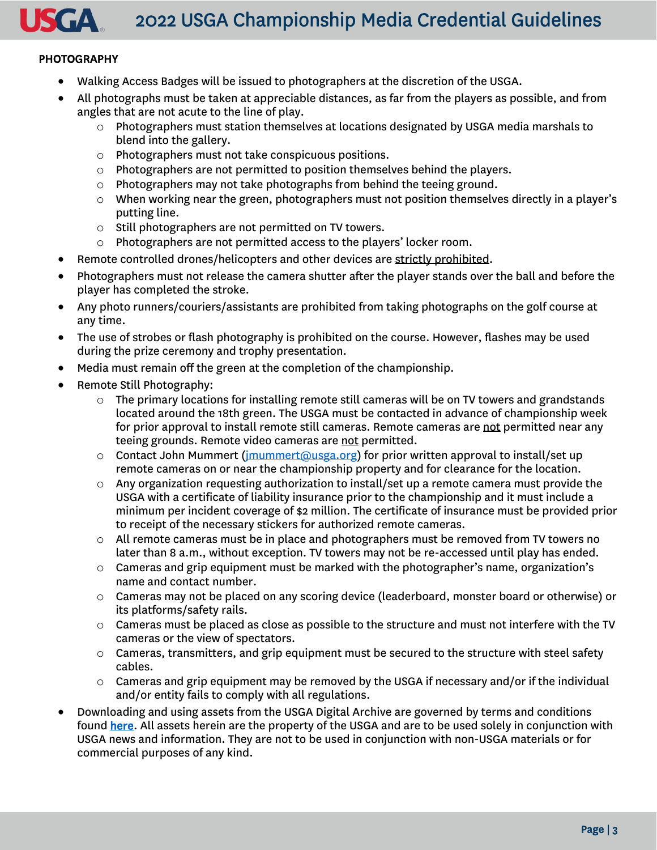2022 USGA Championship Media Credential Guidelines

## PHOTOGRAPHY

- Walking Access Badges will be issued to photographers at the discretion of the USGA.
- All photographs must be taken at appreciable distances, as far from the players as possible, and from angles that are not acute to the line of play.
	- $\circ$  Photographers must station themselves at locations designated by USGA media marshals to blend into the gallery.
	- o Photographers must not take conspicuous positions.
	- $\circ$  Photographers are not permitted to position themselves behind the players.
	- o Photographers may not take photographs from behind the teeing ground.
	- $\circ$  When working near the green, photographers must not position themselves directly in a player's putting line.
	- o Still photographers are not permitted on TV towers.
	- o Photographers are not permitted access to the players' locker room.
- Remote controlled drones/helicopters and other devices are strictly prohibited.
- Photographers must not release the camera shutter after the player stands over the ball and before the player has completed the stroke.
- Any photo runners/couriers/assistants are prohibited from taking photographs on the golf course at any time.
- The use of strobes or flash photography is prohibited on the course. However, flashes may be used during the prize ceremony and trophy presentation.
- Media must remain off the green at the completion of the championship.
- Remote Still Photography:
	- $\circ$  The primary locations for installing remote still cameras will be on TV towers and grandstands located around the 18th green. The USGA must be contacted in advance of championship week for prior approval to install remote still cameras. Remote cameras are not permitted near any teeing grounds. Remote video cameras are not permitted.
	- o Contact John Mummert (imummert@usga.org) for prior written approval to install/set up remote cameras on or near the championship property and for clearance for the location.
	- $\circ$  Any organization requesting authorization to install/set up a remote camera must provide the USGA with a certificate of liability insurance prior to the championship and it must include a minimum per incident coverage of \$2 million. The certificate of insurance must be provided prior to receipt of the necessary stickers for authorized remote cameras.
	- $\circ$  All remote cameras must be in place and photographers must be removed from TV towers no later than 8 a.m., without exception. TV towers may not be re-accessed until play has ended.
	- $\circ$  Cameras and grip equipment must be marked with the photographer's name, organization's name and contact number.
	- o Cameras may not be placed on any scoring device (leaderboard, monster board or otherwise) or its platforms/safety rails.
	- o Cameras must be placed as close as possible to the structure and must not interfere with the TV cameras or the view of spectators.
	- o Cameras, transmitters, and grip equipment must be secured to the structure with steel safety cables.
	- $\circ$  Cameras and grip equipment may be removed by the USGA if necessary and/or if the individual and/or entity fails to comply with all regulations.
- Downloading and using assets from the USGA Digital Archive are governed by terms and conditions found here. All assets herein are the property of the USGA and are to be used solely in conjunction with USGA news and information. They are not to be used in conjunction with non-USGA materials or for commercial purposes of any kind.